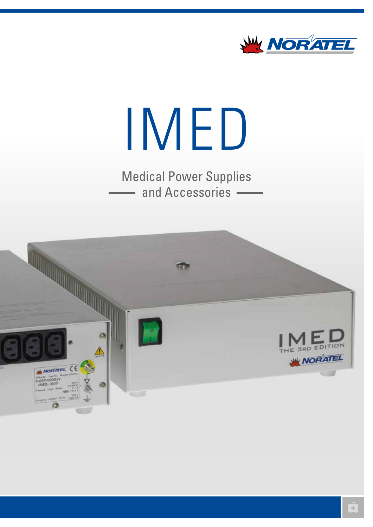

# IMED

Medical Power Supplies and Accessories -

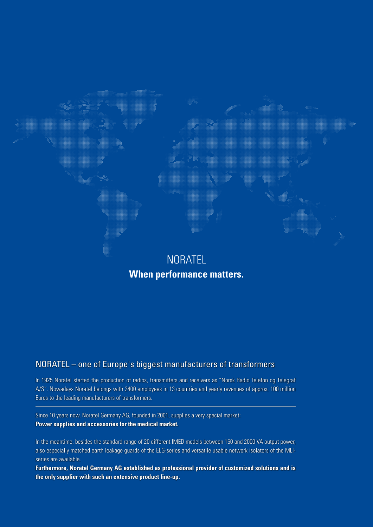

# **When performance matters.**

## NORATEL – one of Europe's biggest manufacturers of transformers

In 1925 Noratel started the production of radios, transmitters and receivers as "Norsk Radio Telefon og Telegraf A/S". Nowadays Noratel belongs with 2400 employees in 13 countries and yearly revenues of approx. 100 million Euros to the leading manufacturers of transformers.

Since 10 years now, Noratel Germany AG, founded in 2001, supplies a very special market: **Power supplies and accessories for the medical market.**

In the meantime, besides the standard range of 20 different IMED models between 150 and 2000 VA output power, also especially matched earth leakage guards of the ELG-series and versatile usable network isolators of the MLIseries are available.

**Furthermore, Noratel Germany AG established as professional provider of customized solutions and is the only supplier with such an extensive product line-up.**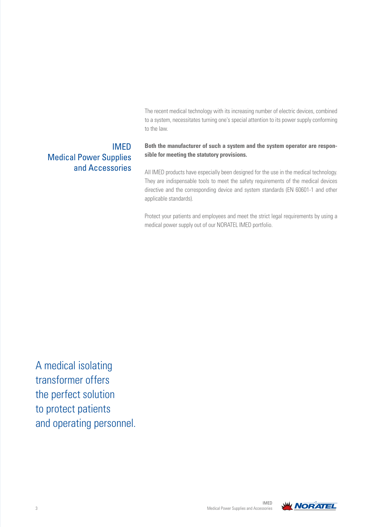The recent medical technology with its increasing number of electric devices, combined to a system, necessitates turning one's special attention to its power supply conforming to the law.

## IMED Medical Power Supplies and Accessories

#### **Both the manufacturer of such a system and the system operator are responsible for meeting the statutory provisions.**

All IMED products have especially been designed for the use in the medical technology. They are indispensable tools to meet the safety requirements of the medical devices directive and the corresponding device and system standards (EN 60601-1 and other applicable standards).

Protect your patients and employees and meet the strict legal requirements by using a medical power supply out of our NORATEL IMED portfolio.

A medical isolating transformer offers the perfect solution to protect patients and operating personnel.

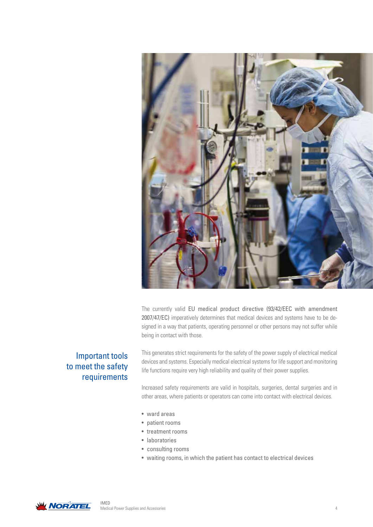

The currently valid EU medical product directive (93/42/EEC with amendment 2007/47/EC) imperatively determines that medical devices and systems have to be designed in a way that patients, operating personnel or other persons may not suffer while being in contact with those.

#### Important tools to meet the safety requirements

This generates strict requirements for the safety of the power supply of electrical medical devices and systems. Especially medical electrical systems for life support and monitoring life functions require very high reliability and quality of their power supplies.

Increased safety requirements are valid in hospitals, surgeries, dental surgeries and in other areas, where patients or operators can come into contact with electrical devices.

- ward areas
- patient rooms
- treatment rooms
- laboratories
- consulting rooms
- waiting rooms, in which the patient has contact to electrical devices

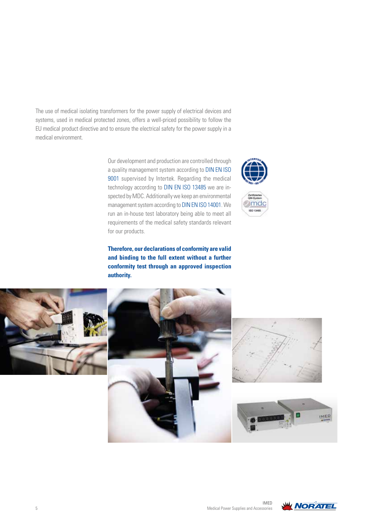The use of medical isolating transformers for the power supply of electrical devices and systems, used in medical protected zones, offers a well-priced possibility to follow the EU medical product directive and to ensure the electrical safety for the power supply in a medical environment.

> Our development and production are controlled through a quality management system according to DIN EN ISO 9001 supervised by Intertek. Regarding the medical technology according to DIN EN ISO 13485 we are inspected by MDC. Additionally we keep an environmental management system according to DIN EN ISO 14001. We run an in-house test laboratory being able to meet all requirements of the medical safety standards relevant for our products.



**Therefore, our declarations of conformity are valid and binding to the full extent without a further conformity test through an approved inspection authority.**



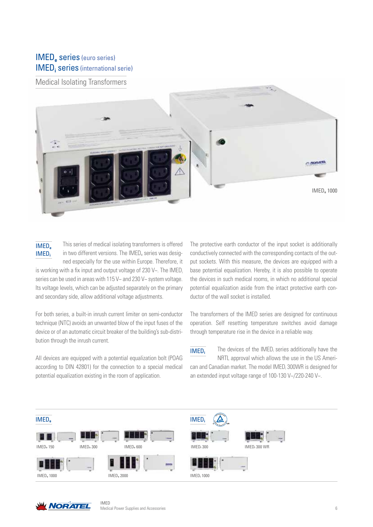## IMED**e** series (euro series) IMED<sub>i</sub> series (international serie)

Medical Isolating Transformers





This series of medical isolating transformers is offered in two different versions. The  $IMED<sub>e</sub>$  series was designed especially for the use within Europe. Therefore, it

is working with a fix input and output voltage of 230  $V \sim$ . The IMED<sub>i</sub> series can be used in areas with 115 V~ and 230 V~ system voltage. Its voltage levels, which can be adjusted separately on the primary and secondary side, allow additional voltage adjustments.

For both series, a built-in inrush current limiter on semi-conductor technique (NTC) avoids an unwanted blow of the input fuses of the device or of an automatic circuit breaker of the building's sub-distribution through the inrush current.

All devices are equipped with a potential equalization bolt (POAG according to DIN 42801) for the connection to a special medical potential equalization existing in the room of application.

The protective earth conductor of the input socket is additionally conductively connected with the corresponding contacts of the output sockets. With this measure, the devices are equipped with a base potential equalization. Hereby, it is also possible to operate the devices in such medical rooms, in which no additional special potential equalization aside from the intact protective earth conductor of the wall socket is installed.

The transformers of the IMED series are designed for continuous operation. Self resetting temperature switches avoid damage through temperature rise in the device in a reliable way.

The devices of the  $IMED_i$  series additionally have the NRTL approval which allows the use in the US American and Canadian market. The model IMED; 300WR is designed for an extended input voltage range of 100-130 V~/220-240 V~. IMED**<sup>i</sup>**





IMED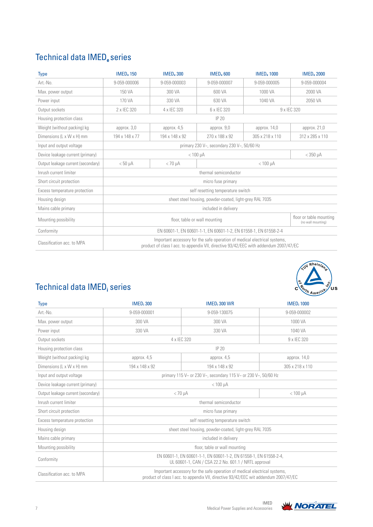# Technical data IMED**e** series

| <b>Type</b>                        | <b>IMED. 150</b>                                                                                                                                                   | <b>IMED</b> <sub>2</sub> 300               | <b>IMED. 600</b> | <b>IMED. 1000</b> | <b>IMED</b> <sub>2000</sub> |  |  |
|------------------------------------|--------------------------------------------------------------------------------------------------------------------------------------------------------------------|--------------------------------------------|------------------|-------------------|-----------------------------|--|--|
| Art.-No.                           | 9-059-000006                                                                                                                                                       | 9-059-000003                               | 9-059-000007     | 9-059-000005      | 9-059-000004                |  |  |
| Max. power output                  | 150 VA                                                                                                                                                             | 300 VA                                     | 600 VA           | 1000 VA           | 2000 VA                     |  |  |
| Power input                        | 170 VA                                                                                                                                                             | 330 VA                                     | 630 VA           | 1040 VA           | 2050 VA                     |  |  |
| Output sockets                     | 2 x IEC 320                                                                                                                                                        | 4 x IEC 320                                | 6 x IEC 320      |                   | 9 x IEC 320                 |  |  |
| Housing protection class           |                                                                                                                                                                    |                                            | <b>IP 20</b>     |                   |                             |  |  |
| Weight (without packing) kg        | approx. 3,0                                                                                                                                                        | approx. 9,0<br>approx. 4,5<br>approx. 14,0 |                  |                   |                             |  |  |
| Dimensions (L x W x H) mm          | 194 x 148 x 77                                                                                                                                                     | 194 x 148 x 92                             | 270 x 188 x 92   | 305 x 218 x 110   | 312 x 285 x 110             |  |  |
| Input and output voltage           | primary 230 V~, secondary 230 V~, 50/60 Hz                                                                                                                         |                                            |                  |                   |                             |  |  |
| Device leakage current (primary)   |                                                                                                                                                                    | $< 100 \mu A$<br>$<$ 350 $\mu$ A           |                  |                   |                             |  |  |
| Output leakage current (secondary) | $< 50 \mu A$<br>$< 70 \mu A$<br>$< 100 \mu A$                                                                                                                      |                                            |                  |                   |                             |  |  |
| Inrush current limiter             | thermal semiconductor                                                                                                                                              |                                            |                  |                   |                             |  |  |
| Short circuit protection           | micro fuse primary                                                                                                                                                 |                                            |                  |                   |                             |  |  |
| Excess temperature protection      | self resetting temperature switch                                                                                                                                  |                                            |                  |                   |                             |  |  |
| Housing design                     | sheet steel housing, powder-coated, light-grey RAL 7035                                                                                                            |                                            |                  |                   |                             |  |  |
| Mains cable primary                | included in delivery                                                                                                                                               |                                            |                  |                   |                             |  |  |
| Mounting possibility               | floor or table mounting<br>floor, table or wall mounting<br>(no wall mounting)                                                                                     |                                            |                  |                   |                             |  |  |
| Conformity                         | EN 60601-1, EN 60601-1-1, EN 60601-1-2, EN 61558-1, EN 61558-2-4                                                                                                   |                                            |                  |                   |                             |  |  |
| Classification acc. to MPA         | Important accessory for the safe operation of medical electrical systems,<br>product of class I acc. to appendix VII, directive 93/42/EEC with addendum 2007/47/EC |                                            |                  |                   |                             |  |  |



## Technical data IMED<sub>i</sub> series

| <b>Type</b>                        | <b>IMED</b> <sub>i</sub> 300                                                                                                                                      | <b>IMED</b> <sub>i</sub> 300 WR                                | <b>IMED</b> <sub>1</sub> 1000 |  |  |
|------------------------------------|-------------------------------------------------------------------------------------------------------------------------------------------------------------------|----------------------------------------------------------------|-------------------------------|--|--|
| Art.-No.                           | 9-059-000001                                                                                                                                                      | 9-059-130075                                                   | 9-059-000002                  |  |  |
| Max. power output                  | 300 VA                                                                                                                                                            | 300 VA                                                         | 1000 VA                       |  |  |
| Power input                        | 330 VA                                                                                                                                                            | 330 VA                                                         | 1040 VA                       |  |  |
| Output sockets                     |                                                                                                                                                                   | 4 x IEC 320                                                    | 9 x IEC 320                   |  |  |
| Housing protection class           |                                                                                                                                                                   | IP 20                                                          |                               |  |  |
| Weight (without packing) kg        | approx. 4,5                                                                                                                                                       | approx. 4,5                                                    | approx. $14,0$                |  |  |
| Dimensions (L x W x H) mm          | 194 x 148 x 92                                                                                                                                                    | 194 x 148 x 92                                                 | 305 x 218 x 110               |  |  |
| Input and output voltage           |                                                                                                                                                                   | primary 115 V~ or 230 V~, secondary 115 V~ or 230 V~, 50/60 Hz |                               |  |  |
| Device leakage current (primary)   | $< 100 \mu A$                                                                                                                                                     |                                                                |                               |  |  |
| Output leakage current (secondary) | $< 100 \mu A$<br>$< 70 \text{ uA}$                                                                                                                                |                                                                |                               |  |  |
| Inrush current limiter             | thermal semiconductor                                                                                                                                             |                                                                |                               |  |  |
| Short circuit protection           |                                                                                                                                                                   | micro fuse primary                                             |                               |  |  |
| Excess temperature protection      |                                                                                                                                                                   | self resetting temperature switch                              |                               |  |  |
| Housing design                     | sheet steel housing, powder-coated, light-grey RAL 7035                                                                                                           |                                                                |                               |  |  |
| Mains cable primary                | included in delivery                                                                                                                                              |                                                                |                               |  |  |
| Mounting possibility               | floor, table or wall mounting                                                                                                                                     |                                                                |                               |  |  |
| Conformity                         | EN 60601-1, EN 60601-1-1, EN 60601-1-2, EN 61558-1, EN 61558-2-4,<br>UL 60601-1, CAN / CSA 22.2 No. 601.1 / NRTL approval                                         |                                                                |                               |  |  |
| Classification acc. to MPA         | Important accessory for the safe operation of medical electrical systems,<br>product of class I acc. to appendix VII, directive 93/42/EEC wit addendum 2007/47/EC |                                                                |                               |  |  |

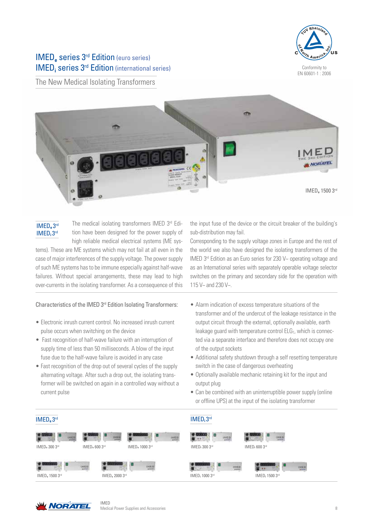

Conformity to EN 60601-1 : 2006

IMED**e** series 3rd Edition (euro series) IMED<sub>i</sub> series 3<sup>rd</sup> Edition (international series)

The New Medical Isolating Transformers



IMED**e** 3rd IMED**i** 3rd

The medical isolating transformers IMED 3rd Edition have been designed for the power supply of high reliable medical electrical systems (ME sys-

tems). These are ME systems which may not fail at all even in the case of major interferences of the supply voltage. The power supply of such ME systems has to be immune especially against half-wave failures. Without special arrangements, these may lead to high over-currents in the isolating transformer. As a consequence of this

#### Characteristics of the IMED 3rd Edition Isolating Transformers:

- Electronic inrush current control. No increased inrush current pulse occurs when switching on the device
- Fast recognition of half-wave failure with an interruption of supply time of less than 50 milliseconds. A blow of the input fuse due to the half-wave failure is avoided in any case
- Fast recognition of the drop out of several cycles of the supply alternating voltage. After such a drop out, the isolating transformer will be switched on again in a controlled way without a current pulse

IMED

the input fuse of the device or the circuit breaker of the building's sub-distribution may fail.

Corresponding to the supply voltage zones in Europe and the rest of the world we also have designed the isolating transformers of the IMED 3rd Edition as an Euro series for 230 V~ operating voltage and as an International series with separately operable voltage selector switches on the primary and secondary side for the operation with 115 V~ and 230 V~.

- Alarm indication of excess temperature situations of the transformer and of the undercut of the leakage resistance in the output circuit through the external, optionally available, earth leakage guard with temperature control  $E L G<sub>T</sub>$ , which is connected via a separate interface and therefore does not occupy one of the output sockets
- Additional safety shutdown through a self resetting temperature switch in the case of dangerous overheating
- Optionally available mechanic retaining kit for the input and output plug
- Can be combined with an uninterruptible power supply (online or offline UPS) at the input of the isolating transformer



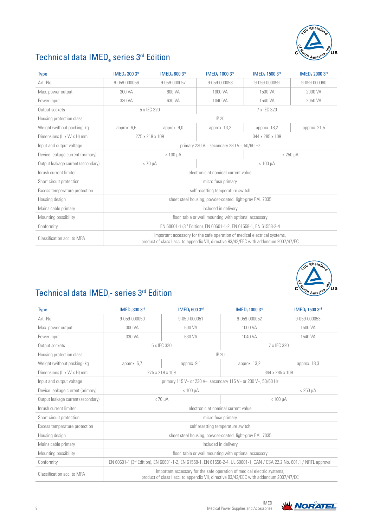

# Technical data IMED**e** series 3rd Edition

| Type                               | <b>IMED. 300 3rd</b>                                                                                                                                               | <b>IMED. 600 3rd</b> | IMED <sub>e</sub> 1000 3rd | IMED. 1500 3rd  | <b>IMED. 2000 3rd</b> |
|------------------------------------|--------------------------------------------------------------------------------------------------------------------------------------------------------------------|----------------------|----------------------------|-----------------|-----------------------|
| Art.-No.                           | 9-059-000056                                                                                                                                                       | 9-059-000057         | 9-059-000058               | 9-059-000059    | 9-059-000060          |
| Max. power output                  | 300 VA                                                                                                                                                             | 600 VA               | 1000 VA                    | 1500 VA         | 2000 VA               |
| Power input                        | 330 VA                                                                                                                                                             | 630 VA               | 1040 VA                    | 1540 VA         | 2050 VA               |
| Output sockets                     |                                                                                                                                                                    | 5 x IEC 320          |                            | 7 x IEC 320     |                       |
| Housing protection class           |                                                                                                                                                                    |                      | <b>IP 20</b>               |                 |                       |
| Weight (without packing) kg        | approx. 6,6                                                                                                                                                        | approx. 9,0          | approx. 13,2               | approx. 18,2    | approx. $21,5$        |
| Dimensions (L x W x H) mm          | 275 x 219 x 109<br>344 x 285 x 109                                                                                                                                 |                      |                            |                 |                       |
| Input and output voltage           | primary 230 V~, secondary 230 V~, 50/60 Hz                                                                                                                         |                      |                            |                 |                       |
| Device leakage current (primary)   | $< 100 \mu A$                                                                                                                                                      |                      |                            | $<$ 250 $\mu$ A |                       |
| Output leakage current (secondary) | $< 70 \text{ uA}$<br>$< 100$ uA                                                                                                                                    |                      |                            |                 |                       |
| Inrush current limiter             | electronic at nominal current value                                                                                                                                |                      |                            |                 |                       |
| Short circuit protection           | micro fuse primary                                                                                                                                                 |                      |                            |                 |                       |
| Excess temperature protection      | self resetting temperature switch                                                                                                                                  |                      |                            |                 |                       |
| Housing design                     | sheet steel housing, powder-coated, light-grey RAL 7035                                                                                                            |                      |                            |                 |                       |
| Mains cable primary                | included in delivery                                                                                                                                               |                      |                            |                 |                       |
| Mounting possibility               | floor, table or wall mounting with optional accessory                                                                                                              |                      |                            |                 |                       |
| Conformity                         | EN 60601-1 (3rd Edition), EN 60601-1-2, EN 61558-1, EN 61558-2-4                                                                                                   |                      |                            |                 |                       |
| Classification acc. to MPA         | Important accessory for the safe operation of medical electrical systems,<br>product of class I acc. to appendix VII, directive 93/42/EEC with addendum 2007/47/EC |                      |                            |                 |                       |



# Technical data IMED**<sup>i</sup>** - series 3rd Edition

| <b>Type</b>                        | <b>IMED</b> <sub>i</sub> 300 3rd                                                                                                                                 | <b>IMED</b> , 600 3rd | <b>IMED</b> : 1000 3rd | IMED <sub>1</sub> 1500 3rd |  |
|------------------------------------|------------------------------------------------------------------------------------------------------------------------------------------------------------------|-----------------------|------------------------|----------------------------|--|
| Art.-No.                           | 9-059-000050                                                                                                                                                     | 9-059-000051          | 9-059-000052           | 9-059-000053               |  |
| Max. power output                  | 300 VA                                                                                                                                                           | 600 VA                | 1000 VA                | 1500 VA                    |  |
| Power input                        | 330 VA                                                                                                                                                           | 630 VA                | 1040 VA                | 1540 VA                    |  |
| Output sockets                     |                                                                                                                                                                  | 5 x IEC 320           | 7 x IEC 320            |                            |  |
| Housing protection class           |                                                                                                                                                                  |                       | <b>IP 20</b>           |                            |  |
| Weight (without packing) kg        | approx. 6,7                                                                                                                                                      | approx. 9,1           | approx. 13,2           | approx. 18,3               |  |
| Dimensions (L x W x H) mm          | 275 x 219 x 109<br>344 x 285 x 109                                                                                                                               |                       |                        |                            |  |
| Input and output voltage           | primary 115 V~ or 230 V~, secondary 115 V~ or 230 V~, 50/60 Hz                                                                                                   |                       |                        |                            |  |
| Device leakage current (primary)   | $< 100 \mu A$                                                                                                                                                    |                       |                        | $< 250 \mu A$              |  |
| Output leakage current (secondary) | $< 100 \mu A$<br>$< 70 \mu A$                                                                                                                                    |                       |                        |                            |  |
| Inrush current limiter             | electronic at nominal current value                                                                                                                              |                       |                        |                            |  |
| Short circuit protection           |                                                                                                                                                                  | micro fuse primary    |                        |                            |  |
| Excess temperature protection      | self resetting temperature switch                                                                                                                                |                       |                        |                            |  |
| Housing design                     | sheet steel housing, powder-coated, light-grey RAL 7035                                                                                                          |                       |                        |                            |  |
| Mains cable primary                | included in delivery                                                                                                                                             |                       |                        |                            |  |
| Mounting possibility               | floor, table or wall mounting with optional accessory                                                                                                            |                       |                        |                            |  |
| Conformity                         | EN 60601-1 (3 <sup>rd</sup> Edition), EN 60601-1-2, EN 61558-1, EN 61558-2-4, UL 60601-1, CAN / CSA 22.2 No. 601.1 / NRTL approval                               |                       |                        |                            |  |
| Classification acc. to MPA         | Important accessory for the safe operation of medical electric systems,<br>product of class I acc. to appendix VII, directive 93/42/EEC with addendum 2007/47/EC |                       |                        |                            |  |

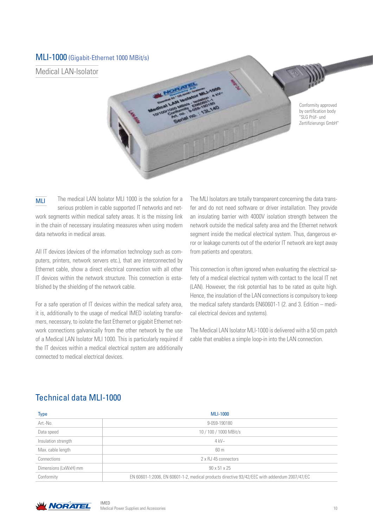#### MLI-1000 (Gigabit-Ethernet 1000 MBit/s)

Medical LAN-Isolator

Conformity approved by certification body "SLG Prüf- und Zertifizierungs GmbH"

The medical LAN Isolator MLI 1000 is the solution for a serious problem in cable supported IT networks and network segments within medical safety areas. It is the missing link in the chain of necessary insulating measures when using modern data networks in medical areas. MLI

All IT devices (devices of the information technology such as computers, printers, network servers etc.), that are interconnected by Ethernet cable, show a direct electrical connection with all other IT devices within the network structure. This connection is established by the shielding of the network cable.

For a safe operation of IT devices within the medical safety area, it is, additionally to the usage of medical IMED isolating transformers, necessary, to isolate the fast Ethernet or gigabit Ethernet network connections galvanically from the other network by the use of a Medical LAN Isolator MLI 1000. This is particularly required if the IT devices within a medical electrical system are additionally connected to medical electrical devices.

The MLI Isolators are totally transparent concerning the data transfer and do not need software or driver installation. They provide an insulating barrier with 4000V isolation strength between the network outside the medical safety area and the Ethernet network segment inside the medical electrical system. Thus, dangerous error or leakage currents out of the exterior IT network are kept away from patients and operators.

This connection is often ignored when evaluating the electrical safety of a medical electrical system with contact to the local IT net (LAN). However, the risk potential has to be rated as quite high. Hence, the insulation of the LAN connections is compulsory to keep the medical safety standards EN60601-1 (2. and 3. Edition – medical electrical devices and systems).

The Medical LAN Isolator MLI-1000 is delivered with a 50 cm patch cable that enables a simple loop-in into the LAN connection.

## Technical data MLI-1000

| <b>Type</b>           | <b>MLI-1000</b>                                                                              |
|-----------------------|----------------------------------------------------------------------------------------------|
| Art.-No.              | 9-059-190180                                                                                 |
| Data speed            | 10 / 100 / 1000 MBit/s                                                                       |
| Insulation strength   | $4$ kV $\sim$                                                                                |
| Max. cable length     | 60 m                                                                                         |
| Connections           | 2 x RJ 45 connectors                                                                         |
| Dimensions (LxWxH) mm | $90 \times 51 \times 25$                                                                     |
| Conformity            | EN 60601-1:2006, EN 60601-1-2, medical products directive 93/42/EEC with addendum 2007/47/EC |



IMED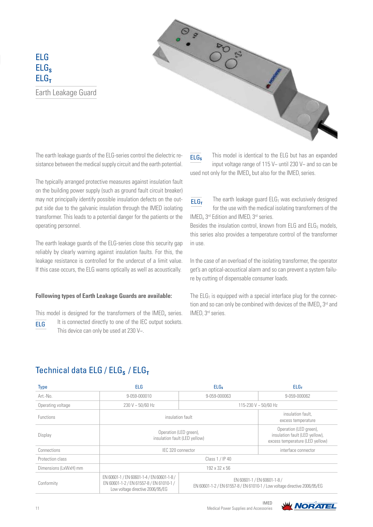ELG ELG<sub>s</sub> ELG<sub>T</sub> Earth Leakage Guard



The typically arranged protective measures against insulation fault on the building power supply (such as ground fault circuit breaker) may not principally identify possible insulation defects on the output side due to the galvanic insulation through the IMED isolating transformer. This leads to a potential danger for the patients or the operating personnel.

The earth leakage guards of the ELG-series close this security gap reliably by clearly warning against insulation faults. For this, the leakage resistance is controlled for the undercut of a limit value. If this case occurs, the ELG warns optically as well as acoustically.

#### **Following types of Earth Leakage Guards are available:**

This model is designed for the transformers of the IMED<sub>e</sub> series.

It is connected directly to one of the IEC output sockets. This device can only be used at 230 V~. ELG

This model is identical to the ELG but has an expanded input voltage range of 115 V~ until 230 V~ and so can be used not only for the  $IMED<sub>e</sub>$  but also for the  $IMED<sub>i</sub>$  series. ELG**S**

The earth leakage guard  $E L G<sub>T</sub>$  was exclusively designed for the use with the medical isolating transformers of the IMED<sub>e</sub> 3<sup>rd</sup> Edition and IMED; 3<sup>rd</sup> series. ELG**<sup>T</sup>**

Besides the insulation control, known from ELG and  $E L G<sub>s</sub>$  models, this series also provides a temperature control of the transformer in use.

In the case of an overload of the isolating transformer, the operator get's an optical-acoustical alarm and so can prevent a system failure by cutting of dispensable consumer loads.

The  $ELG<sub>T</sub>$  is equipped with a special interface plug for the connection and so can only be combined with devices of the  $IMED<sub>e</sub>$  3<sup>rd</sup> and IMED<sub>i</sub> 3<sup>rd</sup> series.

## Technical data ELG / ELG<sub>S</sub> / ELG<sub>T</sub>

| <b>Type</b>           | <b>ELG</b>                                                                                                                                                                                                                             | <b>ELGs</b>  | ELG <sub>T</sub>                                                                            |  |
|-----------------------|----------------------------------------------------------------------------------------------------------------------------------------------------------------------------------------------------------------------------------------|--------------|---------------------------------------------------------------------------------------------|--|
| Art.-No.              | 9-059-000010                                                                                                                                                                                                                           | 9-059-000063 | 9-059-000062                                                                                |  |
| Operating voltage     | $230 V - 50/60 Hz$                                                                                                                                                                                                                     |              | 115-230 V ~ 50/60 Hz                                                                        |  |
| <b>Functions</b>      | insulation fault                                                                                                                                                                                                                       |              | insulation fault.<br>excess temperature                                                     |  |
| Display               | Operation (LED green),<br>insulation fault (LED yellow)                                                                                                                                                                                |              | Operation (LED green),<br>insulation fault (LED yellow),<br>excess temperature (LED yellow) |  |
| Connections           | IEC 320 connector                                                                                                                                                                                                                      |              | interface connector                                                                         |  |
| Protection class      | Class 1 / IP 40                                                                                                                                                                                                                        |              |                                                                                             |  |
| Dimensions (LxWxH) mm | 192 x 32 x 56                                                                                                                                                                                                                          |              |                                                                                             |  |
| Conformity            | EN 60601-1 / EN 60601-1-4 / EN 60601-1-8 /<br>EN 60601-1 / EN 60601-1-8 /<br>EN 60601-1-2 / EN 61557-8 / EN 61010-1 /<br>EN 60601-1-2 / EN 61557-8 / EN 61010-1 / Low voltage directive 2006/95/EG<br>Low voltage directive 2006/95/EG |              |                                                                                             |  |

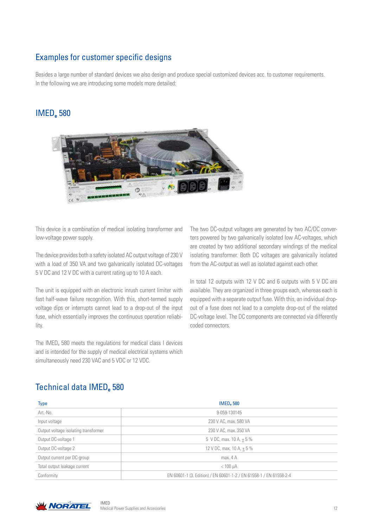## Examples for customer specific designs

Besides a large number of standard devices we also design and produce special customized devices acc. to customer requirements. In the following we are introducing some models more detailed:

## IMED**e** 580



This device is a combination of medical isolating transformer and low-voltage power supply.

The device provides both a safety isolated AC output voltage of 230 V with a load of 350 VA and two galvanically isolated DC-voltages 5 V DC and 12 V DC with a current rating up to 10 A each.

The unit is equipped with an electronic inrush current limiter with fast half-wave failure recognition. With this, short-termed supply voltage dips or interrupts cannot lead to a drop-out of the input fuse, which essentially improves the continuous operation reliability.

The IMED<sub>e</sub> 580 meets the regulations for medical class I devices and is intended for the supply of medical electrical systems which simultaneously need 230 VAC and 5 VDC or 12 VDC.

The two DC-output voltages are generated by two AC/DC converters powered by two galvanically isolated low AC-voltages, which are created by two additional secondary windings of the medical isolating transformer. Both DC voltages are galvanically isolated from the AC-output as well as isolated against each other.

In total 12 outputs with 12 V DC and 6 outputs with 5 V DC are available. They are organized in three groups each, whereas each is equipped with a separate output fuse. With this, an individual dropout of a fuse does not lead to a complete drop-out of the related DC-voltage level. The DC components are connected via differently coded connectors.

## Technical data IMED<sub>2</sub> 580

| <b>Type</b>                          | <b>IMED</b> <sub>2</sub> 580                                       |
|--------------------------------------|--------------------------------------------------------------------|
| Art.-No.                             | 9-059-130145                                                       |
| Input voltage                        | 230 V AC, max. 580 VA                                              |
| Output voltage isolating transformer | 230 V AC, max. 350 VA                                              |
| Output DC-voltage 1                  | 5 V DC, max. 10 A, $+5\%$                                          |
| Output DC-voltage 2                  | 12 V DC, max. 10 A, $+5\%$                                         |
| Output current per DC-group          | max. $4 A$                                                         |
| Total output leakage current         | $< 100 \mu A$                                                      |
| Conformity                           | EN 60601-1 (3. Edition) / EN 60601-1-2 / EN 61558-1 / EN 61558-2-4 |



IMED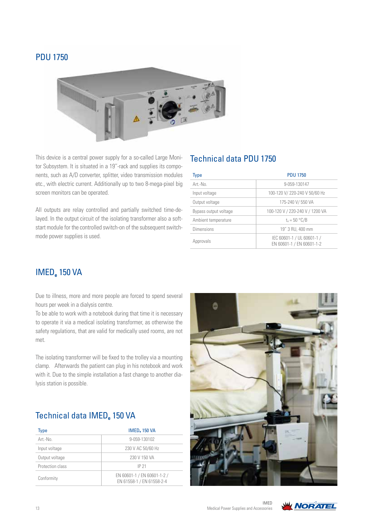### PDU 1750



This device is a central power supply for a so-called Large Monitor Subsystem. It is situated in a 19"-rack and supplies its components, such as A/D converter, splitter, video transmission modules etc., with electric current. Additionally up to two 8-mega-pixel big screen monitors can be operated.

All outputs are relay controlled and partially switched time-delayed. In the output circuit of the isolating transformer also a softstart module for the controlled switch-on of the subsequent switchmode power supplies is used.

### Technical data PDU 1750

| <b>Type</b>           | <b>PDU 1750</b>                                         |
|-----------------------|---------------------------------------------------------|
| Art.-No.              | 9-059-130147                                            |
| Input voltage         | 100-120 V/ 220-240 V 50/60 Hz                           |
| Output voltage        | 175-240 V/ 550 VA                                       |
| Bypass output voltage | 100-120 V / 220-240 V / 1200 VA                         |
| Ambient temperature   | $t_a = 50 °C/B$                                         |
| Dimensions            | 19" 3 RU, 400 mm                                        |
| Approvals             | IEC 60601-1 / UL 60601-1 /<br>EN 60601-1 / EN 60601-1-2 |

## IMED**e** 150 VA

Due to illness, more and more people are forced to spend several hours per week in a dialysis centre.

To be able to work with a notebook during that time it is necessary to operate it via a medical isolating transformer, as otherwise the safety regulations, that are valid for medically used rooms, are not met.

The isolating transformer will be fixed to the trolley via a mounting clamp. Afterwards the patient can plug in his notebook and work with it. Due to the simple installation a fast change to another dialysis station is possible.

## Technical data IMED**e** 150 VA

| <b>Type</b>      | <b>IMED</b> <sub>2</sub> 150 VA                          |
|------------------|----------------------------------------------------------|
| $Art - Nn$       | 9-059-130102                                             |
| Input voltage    | 230 V AC 50/60 Hz                                        |
| Output voltage   | 230 V 150 VA                                             |
| Protection class | IP 21                                                    |
| Conformity       | EN 60601-1 / EN 60601-1-2 /<br>EN 61558-1 / EN 61558-2-4 |



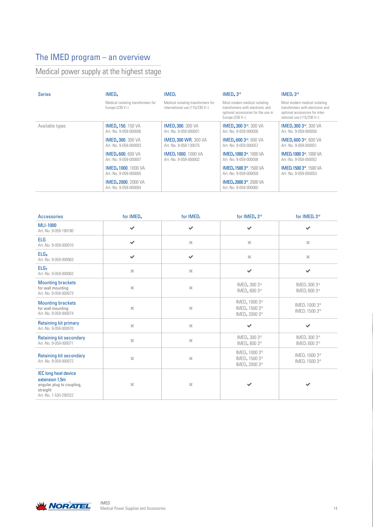# The IMED program – an overview

# Medical power supply at the highest stage

| <b>Series</b>   | IMED.                                                 | <b>IMED</b>                                                          | IMED. 3rd                                                                                                                   | IMED:3 <sup>rd</sup>                                                                                                                |
|-----------------|-------------------------------------------------------|----------------------------------------------------------------------|-----------------------------------------------------------------------------------------------------------------------------|-------------------------------------------------------------------------------------------------------------------------------------|
|                 | Medical isolating transformers for<br>Europe (230 V~) | Medical isolating transformers for<br>international use (115/230 V~) | Most modern medical isolating<br>transformers with electronic and<br>optional accessories for the use in<br>Europe (230 V~) | Most modern medical isolating<br>transformers with electronic and<br>optional accessories for inter-<br>national use $(115/230 Vo)$ |
| Available types | <b>IMED. 150, 150 VA</b><br>Art.-No. 9-059-000006     | <b>IMED: 300</b> , 300 VA<br>Art.-No. 9-059-000001                   | <b>IMED. 300 3rd. 300 VA</b><br>Art.-No. 9-059-000056                                                                       | <b>IMED</b> <sub>i</sub> 300 3 <sup>rd</sup> , 300 VA<br>Art.-No. 9-059-000050                                                      |
|                 | <b>IMED. 300. 300 VA</b><br>Art.-No. 9-059-000003     | <b>IMED: 300 WR. 300 VA</b><br>Art.-No. 9-059-130075                 | <b>IMED. 600 3rd. 600 VA</b><br>Art.-No. 9-059-000057                                                                       | <b>IMED</b> <sub>i</sub> 600 3rd, 600 VA<br>Art.-No. 9-059-000051                                                                   |
|                 | <b>IMED.600.600 VA</b><br>Art.-No. 9-059-000007       | <b>IMED: 1000</b> , 1000 VA<br>Art.-No. 9-059-000002                 | <b>IMED. 1000 3rd</b> , 1000 VA<br>Art.-No. 9-059-000058                                                                    | <b>IMED</b> <sub>i</sub> 1000 3rd, 1000 VA<br>Art.-No. 9-059-000052                                                                 |
|                 | <b>IMED, 1000</b> , 1000 VA<br>Art.-No. 9-059-000005  |                                                                      | <b>IMED. 1500 3rd</b> , 1500 VA<br>Art.-No. 9-059-000059                                                                    | <b>IMED</b> <sub>i</sub> 1500 3rd, 1500 VA<br>Art.-No. 9-059-000053                                                                 |
|                 | <b>IMED. 2000</b> , 2000 VA<br>Art.-No. 9-059-000004  |                                                                      | <b>IMED. 2000 3rd</b> , 2000 VA<br>Art.-No. 9-059-000060                                                                    |                                                                                                                                     |

| <b>Accessories</b>                                                                                              | for IMED <sub>e</sub>    | for IMED;    | for IMED <sub>e</sub> 3rd                                                              | for IMED; 3rd                                            |
|-----------------------------------------------------------------------------------------------------------------|--------------------------|--------------|----------------------------------------------------------------------------------------|----------------------------------------------------------|
| <b>MLI-1000</b><br>Art.-No. 9-059-190180                                                                        | $\checkmark$             | $\checkmark$ | $\checkmark$                                                                           | $\checkmark$                                             |
| <b>ELG</b><br>Art.-No. 9-059-000010                                                                             | $\overline{\mathscr{L}}$ | $\mathbf{x}$ | $\mathsf{X}% _{T}=\mathsf{X}_{T}$                                                      | $\mathbf{x}$                                             |
| <b>ELGs</b><br>Art.-No. 9-059-000063                                                                            | ✔                        | $\checkmark$ | $\mathsf{X}$                                                                           | $\mathbf{x}$                                             |
| ELG <sub>T</sub><br>Art.-No. 9-059-000062                                                                       | $\mathbf{x}$             | $\mathbf{x}$ | $\checkmark$                                                                           | $\checkmark$                                             |
| <b>Mounting brackets</b><br>for wall mounting<br>Art.-No. 9-059-000073                                          | $\mathbf{x}$             | $\mathbf{x}$ | IMED <sub>e</sub> 300 3rd<br>IMED, 600 3rd                                             | IMED; 300 3rd<br>IMED; 600 3rd                           |
| <b>Mounting brackets</b><br>for wall mounting<br>Art.-No. 9-059-000074                                          | $20$                     | $\mathbf{x}$ | IMED <sub>e</sub> 1000 3rd<br>IMED <sub>e</sub> 1500 3rd<br>IMED <sub>e</sub> 2000 3rd | IMED; 1000 3rd<br>IMED; 1500 3rd                         |
| <b>Retaining kit primary</b><br>Art.-No. 9-059-000070                                                           | $\mathbf{x}$             | $\mathbf{x}$ | $\checkmark$                                                                           | $\checkmark$                                             |
| <b>Retaining kit secondary</b><br>Art.-No. 9-059-000071                                                         | $\mathbf{x}$             | $\mathbf{x}$ | IMED <sub>e</sub> 300 3rd<br>IMED. 600 3rd                                             | IMED; 300 3rd<br>IMED; 600 3rd                           |
| <b>Retaining kit secondary</b><br>Art.-No. 9-059-000072                                                         | $20$                     | $\mathbf{x}$ | IMED <sub>e</sub> 1000 3rd<br>IMED <sub>e</sub> 1500 3rd<br>IMED <sub>e</sub> 2000 3rd | IMED <sub>i</sub> 1000 3rd<br>IMED <sub>i</sub> 1500 3rd |
| <b>IEC</b> long heat device<br>extension 1,5m<br>angular plug to coupling,<br>straight<br>Art.-No. 1-530-290322 | $\mathbf{x}$             | $\mathbf{x}$ |                                                                                        | $\checkmark$                                             |

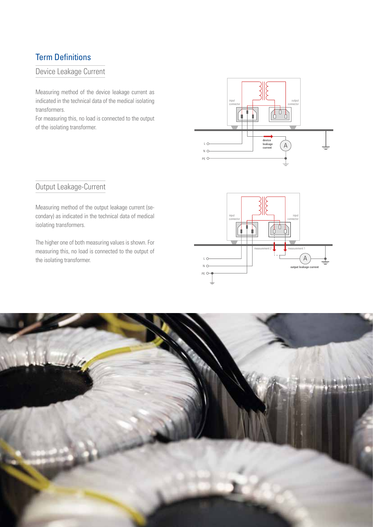## Term Definitions

#### Device Leakage Current

Measuring method of the device leakage current as indicated in the technical data of the medical isolating transformers.

For measuring this, no load is connected to the output of the isolating transformer.



## Output Leakage-Current

Measuring method of the output leakage current (secondary) as indicated in the technical data of medical isolating transformers.

The higher one of both measuring values is shown. For measuring this, no load is connected to the output of the isolating transformer.